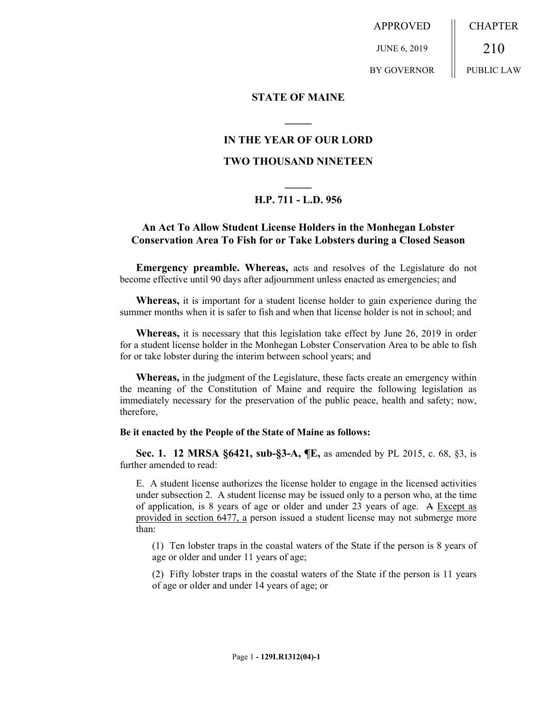APPROVED JUNE 6, 2019 BY GOVERNOR CHAPTER 210 PUBLIC LAW

### **STATE OF MAINE**

# **IN THE YEAR OF OUR LORD**

**\_\_\_\_\_**

## **TWO THOUSAND NINETEEN**

# **\_\_\_\_\_ H.P. 711 - L.D. 956**

# **An Act To Allow Student License Holders in the Monhegan Lobster Conservation Area To Fish for or Take Lobsters during a Closed Season**

**Emergency preamble. Whereas,** acts and resolves of the Legislature do not become effective until 90 days after adjournment unless enacted as emergencies; and

**Whereas,** it is important for a student license holder to gain experience during the summer months when it is safer to fish and when that license holder is not in school; and

**Whereas,** it is necessary that this legislation take effect by June 26, 2019 in order for a student license holder in the Monhegan Lobster Conservation Area to be able to fish for or take lobster during the interim between school years; and

**Whereas,** in the judgment of the Legislature, these facts create an emergency within the meaning of the Constitution of Maine and require the following legislation as immediately necessary for the preservation of the public peace, health and safety; now, therefore,

#### **Be it enacted by the People of the State of Maine as follows:**

**Sec. 1. 12 MRSA §6421, sub-§3-A, ¶E,** as amended by PL 2015, c. 68, §3, is further amended to read:

E. A student license authorizes the license holder to engage in the licensed activities under subsection 2. A student license may be issued only to a person who, at the time of application, is 8 years of age or older and under 23 years of age. A Except as provided in section 6477, a person issued a student license may not submerge more than:

(1) Ten lobster traps in the coastal waters of the State if the person is 8 years of age or older and under 11 years of age;

(2) Fifty lobster traps in the coastal waters of the State if the person is 11 years of age or older and under 14 years of age; or